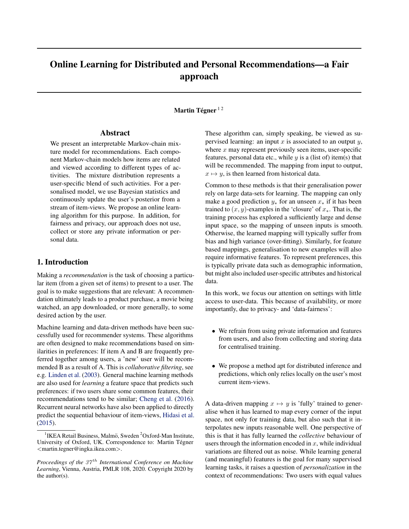# Online Learning for Distributed and Personal Recommendations—a Fair approach

#### Martin Tégner  $^{\rm l}$  2

#### Abstract

We present an interpretable Markov-chain mixture model for recommendations. Each component Markov-chain models how items are related and viewed according to different types of activities. The mixture distribution represents a user-specific blend of such activities. For a personalised model, we use Bayesian statistics and continuously update the user's posterior from a stream of item-views. We propose an online learning algorithm for this purpose. In addition, for fairness and privacy, our approach does not use, collect or store any private information or personal data.

## 1. Introduction

Making a *recommendation* is the task of choosing a particular item (from a given set of items) to present to a user. The goal is to make suggestions that are relevant: A recommendation ultimately leads to a product purchase, a movie being watched, an app downloaded, or more generally, to some desired action by the user.

Machine learning and data-driven methods have been successfully used for recommender systems. These algorithms are often designed to make recommendations based on similarities in preferences: If item A and B are frequently preferred together among users, a 'new' user will be recommended B as a result of A. This is *collaborative filtering*, see e.g. [Linden et al.](#page-5-0) [\(2003\)](#page-5-0). General machine learning methods are also used for *learning* a feature space that predicts such preferences: if two users share some common features, their recommendations tend to be similar; [Cheng et al.](#page-5-0) [\(2016\)](#page-5-0). Recurrent neural networks have also been applied to directly predict the sequential behaviour of item-views, [Hidasi et al.](#page-5-0) [\(2015\)](#page-5-0).

These algorithm can, simply speaking, be viewed as supervised learning: an input  $x$  is associated to an output  $y$ , where  $x$  may represent previously seen items, user-specific features, personal data etc., while  $y$  is a (list of) item(s) that will be recommended. The mapping from input to output,  $x \mapsto y$ , is then learned from historical data.

Common to these methods is that their generalisation power rely on large data-sets for learning. The mapping can only make a good prediction  $y_*$  for an unseen  $x_*$  if it has been trained to  $(x, y)$ -examples in the 'closure' of  $x_*$ . That is, the training process has explored a sufficiently large and dense input space, so the mapping of unseen inputs is smooth. Otherwise, the learned mapping will typically suffer from bias and high variance (over-fitting). Similarly, for feature based mappings, generalisation to new examples will also require informative features. To represent preferences, this is typically private data such as demographic information, but might also included user-specific attributes and historical data.

In this work, we focus our attention on settings with little access to user-data. This because of availability, or more importantly, due to privacy- and 'data-fairness':

- We refrain from using private information and features from users, and also from collecting and storing data for centralised training.
- We propose a method apt for distributed inference and predictions, which only relies locally on the user's most current item-views.

A data-driven mapping  $x \mapsto y$  is 'fully' trained to generalise when it has learned to map every corner of the input space, not only for training data, but also such that it interpolates new inputs reasonable well. One perspective of this is that it has fully learned the *collective* behaviour of users through the information encoded in  $x$ , while individual variations are filtered out as noise. While learning general (and meaningful) features is the goal for many supervised learning tasks, it raises a question of *personalization* in the context of recommendations: Two users with equal values

<sup>&</sup>lt;sup>1</sup> IKEA Retail Business, Malmö, Sweden <sup>2</sup>Oxford-Man Institute, University of Oxford, UK. Correspondence to: Martin Tégner <martin.tegner@ingka.ikea.com>.

*Proceedings of the 37<sup>th</sup> International Conference on Machine Learning*, Vienna, Austria, PMLR 108, 2020. Copyright 2020 by the author(s).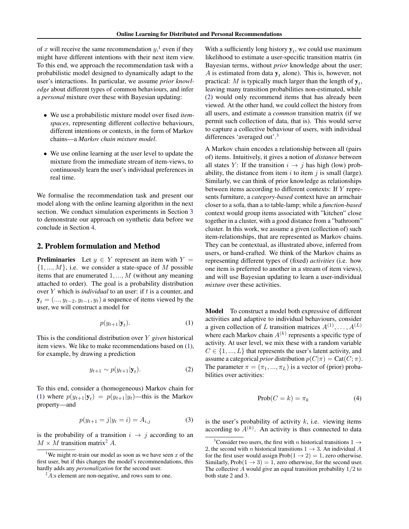<span id="page-1-0"></span>of x will receive the same recommendation  $y$ ,<sup>1</sup> even if they might have different intentions with their next item view. To this end, we approach the recommendation task with a probabilistic model designed to dynamically adapt to the user's interactions. In particular, we assume *prior knowledge* about different types of common behaviours, and infer a *personal* mixture over these with Bayesian updating:

- We use a probabilistic mixture model over fixed *itemspaces*, representing different collective behaviours, different intentions or contexts, in the form of Markov chains—a *Markov chain mixture model*.
- We use online learning at the user level to update the mixture from the immediate stream of item-views, to continuously learn the user's individual preferences in real time.

We formalise the recommendation task and present our model along with the online learning algorithm in the next section. We conduct simulation experiments in Section [3](#page-3-0) to demonstrate our approach on synthetic data before we conclude in Section [4.](#page-4-0)

### 2. Problem formulation and Method

**Preliminaries** Let  $y \in Y$  represent an item with  $Y =$  $\{1, ..., M\}$ , i.e. we consider a state-space of M possible items that are enumerated  $1, \ldots, M$  (without any meaning attached to order). The goal is a probability distribution over  $Y$  which is *individual* to an user: if  $t$  is a counter, and  $y_t = (..., y_{t-2}, y_{t-1}, y_t)$  a sequence of items viewed by the user, we will construct a model for

$$
p(y_{t+1}|\mathbf{y}_t). \tag{1}
$$

This is the conditional distribution over Y *given* historical item views. We like to make recommendations based on (1), for example, by drawing a prediction

$$
y_{t+1} \sim p(y_{t+1}|\mathbf{y}_t). \tag{2}
$$

To this end, consider a (homogeneous) Markov chain for (1) where  $p(y_{t+1}|\mathbf{y}_t) = p(y_{t+1}|\mathbf{y}_t)$ —this is the Markov property—and

$$
p(y_{t+1} = j | y_t = i) = A_{i,j}
$$
 (3)

is the probability of a transition  $i \rightarrow j$  according to an  $M \times M$  transition matrix<sup>2</sup> A.

With a sufficiently long history  $y_t$ , we could use maximum likelihood to estimate a user-specific transition matrix (in Bayesian terms, without *prior* knowledge about the user; A is estimated from data  $y_t$  alone). This is, however, not practical: M is typically much larger than the length of  $y_t$ , leaving many transition probabilities non-estimated, while (2) would only recommend items that has already been viewed. At the other hand, we could collect the history from all users, and estimate a *common* transition matrix (if we permit such collection of data, that is). This would serve to capture a collective behaviour of users, with individual differences 'averaged out'.<sup>3</sup>

A Markov chain encodes a relationship between all (pairs of) items. Intuitively, it gives a notion of *distance* between all states Y: If the transition  $i \rightarrow j$  has high (low) probability, the distance from item  $i$  to item  $j$  is small (large). Similarly, we can think of prior knowledge as relationships between items according to different contexts: If Y represents furniture, a *category-based* context have an armchair closer to a sofa, than a to table-lamp; while a *function-based* context would group items associated with "kitchen" close together in a cluster, with a good distance from a "bathroom" cluster. In this work, we assume a given (collection of) such item-relationships, that are represented as Markov chains. They can be contextual, as illustrated above, inferred from users, or hand-crafted. We think of the Markov chains as representing different types of (fixed) *activities* (i.e. how one item is preferred to another in a stream of item views), and will use Bayesian updating to learn a user-individual *mixture* over these activities.

Model To construct a model both expressive of different activities and adaptive to individual behaviours, consider a given collection of L transition matrices  $A^{(1)}, \ldots, A^{(L)}$ where each Markov chain  $A^{(k)}$  represents a specific type of activity. At user level, we mix these with a random variable  $C \in \{1, ..., L\}$  that represents the user's latent activity, and assume a categorical *prior* distribution  $p(C|\pi) = \text{Cat}(C; \pi)$ . The parameter  $\pi = (\pi_1, ..., \pi_L)$  is a vector of (prior) probabilities over activities:

$$
Prob(C = k) = \pi_k \tag{4}
$$

is the user's probability of activity  $k$ , i.e. viewing items according to  $A^{(k)}$ . An activity is thus connected to data

<sup>&</sup>lt;sup>1</sup>We might re-train our model as soon as we have seen x of the first user, but if this changes the model's recommendations, this hardly adds any *personalization* for the second user.

 $2A$ :s element are non-negative, and rows sum to one.

<sup>&</sup>lt;sup>3</sup>Consider two users, the first with n historical transitions  $1 \rightarrow$ 2, the second with n historical transitions  $1 \rightarrow 3$ . An individual A for the first user would assign Prob $(1 \rightarrow 2) = 1$ , zero otherwise. Similarly, Prob $(1 \rightarrow 3) = 1$ , zero otherwise, for the second user. The collective  $A$  would give an equal transition probability  $1/2$  to both state 2 and 3.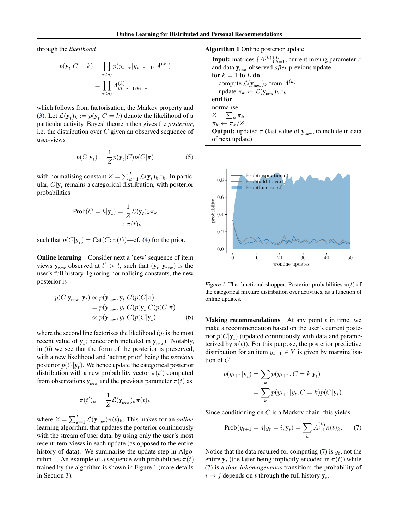<span id="page-2-0"></span>through the *likelihood*

$$
p(\mathbf{y}_t|C = k) = \prod_{\tau \ge 0} p(y_{t-\tau}|y_{t-\tau-1}, A^{(k)})
$$

$$
= \prod_{\tau \ge 0} A^{(k)}_{y_{t-\tau-1}, y_{t-\tau}}
$$

which follows from factorisation, the Markov property and [\(3\)](#page-1-0). Let  $\mathcal{L}(\mathbf{y}_t)_k := p(\mathbf{y}_t | C = k)$  denote the likelihood of a particular activity. Bayes' theorem then gives the *posterior*, i.e. the distribution over  $C$  given an observed sequence of user-views

$$
p(C|\mathbf{y}_t) = \frac{1}{Z}p(\mathbf{y}_t|C)p(C|\pi)
$$
 (5)

with normalising constant  $Z = \sum_{k=1}^{L} \mathcal{L}(\mathbf{y}_t)_k \pi_k$ . In particular,  $C|\mathbf{y}_t$  remains a categorical distribution, with posterior probabilities

$$
\text{Prob}(C = k|\mathbf{y}_t) = \frac{1}{Z} \mathcal{L}(\mathbf{y}_t)_k \pi_k
$$

$$
=: \pi(t)_k
$$

such that  $p(C|\mathbf{y}_t) = \text{Cat}(C; \pi(t))$ —cf. [\(4\)](#page-1-0) for the prior.

**Online learning** Consider next a 'new' sequence of item views  $y_{\text{new}}$  observed at  $t' > t$ , such that  $(y_t, y_{\text{new}})$  is the user's full history. Ignoring normalising constants, the new posterior is

$$
p(C|\mathbf{y}_{\text{new}}, \mathbf{y}_{t}) \propto p(\mathbf{y}_{\text{new}}, \mathbf{y}_{t}|C)p(C|\pi) = p(\mathbf{y}_{\text{new}}, y_{t}|C)p(\mathbf{y}_{t}|C)p(C|\pi) \propto p(\mathbf{y}_{\text{new}}, y_{t}|C)p(C|\mathbf{y}_{t})
$$
(6)

where the second line factorises the likelihood  $(y_t)$  is the most recent value of  $y_t$ ; henceforth included in  $y_{\text{new}}$ ). Notably, in (6) we see that the form of the posterior is preserved, with a new likelihood and 'acting prior' being the *previous* posterior  $p(C|\mathbf{y}_t)$ . We hence update the categorical posterior distribution with a new probability vector  $\pi(t')$  computed from observations  $y_{new}$  and the previous parameter  $\pi(t)$  as

$$
\pi(t')_k = \frac{1}{Z} \mathcal{L}(\mathbf{y}_{\text{new}})_k \pi(t)_k
$$

where  $Z = \sum_{k=1}^{L} \mathcal{L}(\mathbf{y}_{\text{new}})\pi(t)_k$ . This makes for an *online* learning algorithm, that updates the posterior continuously with the stream of user data, by using only the user's most recent item-views in each update (as opposed to the entire history of data). We summarise the update step in Algorithm 1. An example of a sequence with probabilities  $\pi(t)$ trained by the algorithm is shown in Figure 1 (more details in Section [3\)](#page-3-0).

Algorithm 1 Online posterior update

**Input:** matrices  $\{A^{(k)}\}_{k=1}^L$ , current mixing parameter  $\pi$ and data  $y_{\text{new}}$  observed *after* previous update for  $k = 1$  to L do compute  $\mathcal{L}(\mathbf{y}_{\text{new}})_{k}$  from  $A^{(k)}$ update  $\pi_k \leftarrow \mathcal{L}(\mathbf{y}_{\text{new}})_k \pi_k$ end for normalise:  $Z=\sum_k \pi_k$  $\pi_k \leftarrow \pi_k/Z$ **Output:** updated  $\pi$  (last value of  $y_{\text{new}}$ , to include in data of next update)



Figure 1. The functional shopper. Posterior probabilities  $\pi(t)$  of the categorical mixture distribution over activities, as a function of online updates.

**Making recommendations** At any point  $t$  in time, we make a recommendation based on the user's current posterior  $p(C|\mathbf{y}_t)$  (updated continuously with data and parameterized by  $\pi(t)$ ). For this purpose, the posterior predictive distribution for an item  $y_{t+1} \in Y$  is given by marginalisation of C

$$
p(y_{t+1}|\mathbf{y}_t) = \sum_k p(y_{t+1}, C = k|\mathbf{y}_t)
$$
  
= 
$$
\sum_k p(y_{t+1}|y_t, C = k)p(C|\mathbf{y}_t).
$$

Since conditioning on  $C$  is a Markov chain, this yields

Prob
$$
(y_{t+1} = j | y_t = i, \mathbf{y}_t) = \sum_k A_{i,j}^{(k)} \pi(t)_k.
$$
 (7)

Notice that the data required for computing (7) is  $y_t$ , not the entire  $y_t$  (the latter being implicitly encoded in  $\pi(t)$ ) while (7) is a *time-inhomogeneous* transition: the probability of  $i \rightarrow j$  depends on t through the full history  $y_t$ .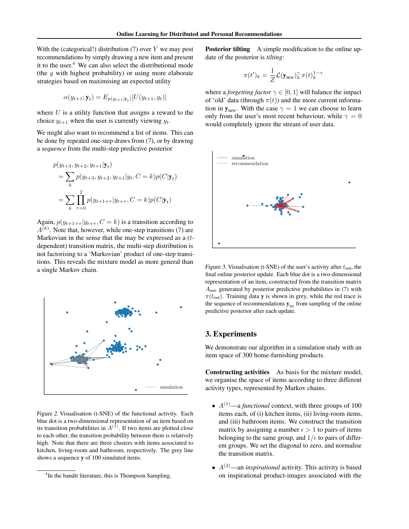<span id="page-3-0"></span>With the (categorical!) distribution  $(7)$  over Y we may post recommendations by simply drawing a new item and present it to the user. $4$  We can also select the distributional mode (the  $y$  with highest probability) or using more elaborate strategies based on maximising an expected utility

$$
\alpha(y_{t+1}; \mathbf{y}_t) = E_{p(y_{t+1}|\mathbf{y}_t)}[U(y_{t+1}, y_t)]
$$

where  $U$  is a utility function that assigns a reward to the choice  $y_{t+1}$  when the user is currently viewing  $y_t$ .

We might also want to recommend a list of items. This can be done by repeated one-step draws from [\(7\)](#page-2-0), or by drawing a *sequence* from the multi-step predictive posterior

$$
p(y_{t+3}, y_{t+2}, y_{t+1} | \mathbf{y}_t)
$$
  
=  $\sum_k p(y_{t+3}, y_{t+2}, y_{t+1} | y_t, C = k) p(C | \mathbf{y}_t)$   
=  $\sum_k \prod_{\tau=0}^2 p(y_{t+1+\tau} | y_{t+\tau}, C = k) p(C | \mathbf{y}_t)$ 

Again,  $p(y_{t+1+\tau} | y_{t+\tau}, C = k)$  is a transition according to  $A^{(k)}$ . Note that, however, while one-step transitions [\(7\)](#page-2-0) are Markovian in the sense that the may be expressed as a  $(t$ dependent) transition matrix, the multi-step distribution is not factorising to a 'Markovian' product of one-step transitions. This reveals the mixture model as more general than a single Markov chain.



Figure 2. Visualisation (t-SNE) of the functional activity. Each blue dot is a two-dimensional representation of an item based on its transition probabilities in  $A^{(1)}$ . If two items are plotted close to each other, the transition probability between them is relatively high. Note that there are three clusters with items associated to kitchen, living-room and bathroom, respectively. The grey line shows a sequence y of 100 simulated items.

Posterior tilting A simple modification to the online update of the posterior is *tilting*:

$$
\pi(t')_k = \frac{1}{Z} \mathcal{L}(\mathbf{y}_{\text{new}})_k^{\gamma} \pi(t)_k^{1-\gamma}
$$

where a *forgetting factor*  $\gamma \in [0, 1]$  will balance the impact of 'old' data (through  $\pi(t)$ ) and the more current information in  $y_{\text{new}}$ . With the case  $\gamma = 1$  we can choose to learn only from the user's most recent behaviour, while  $\gamma = 0$ would completely ignore the stream of user data.



Figure 3. Visualisation (t-SNE) of the user's activity after  $t_{\text{end}}$ , the final online posterior update. Each blue dot is a two-dimensional representation of an item, constructed from the transition matrix Auser generated by posterior predictive probabilities in [\(7\)](#page-2-0) with  $\pi(t_{\text{end}})$ . Training data **y** is shown in grey, while the red trace is the sequence of recommendations  $y_{rec}$  from sampling of the online predictive posterior after each update.

### 3. Experiments

We demonstrate our algorithm in a simulation study with an item space of 300 home-furnishing products.

Constructing activities As basis for the mixture model, we organise the space of items according to three different activity types, represented by Markov chains.

- $\bullet$   $A^{(1)}$ —a *functional* context, with three groups of 100 items each, of (i) kitchen items, (ii) living-room items, and (iii) bathroom items. We construct the transition matrix by assigning a number  $\epsilon > 1$  to pairs of items belonging to the same group, and  $1/\epsilon$  to pairs of different groups. We set the diagonal to zero, and normalise the transition matrix.
- $A^{(2)}$ —an *inspirational* activity. This activity is based on inspirational product-images associated with the

<sup>&</sup>lt;sup>4</sup>In the bandit literature, this is Thompson Sampling.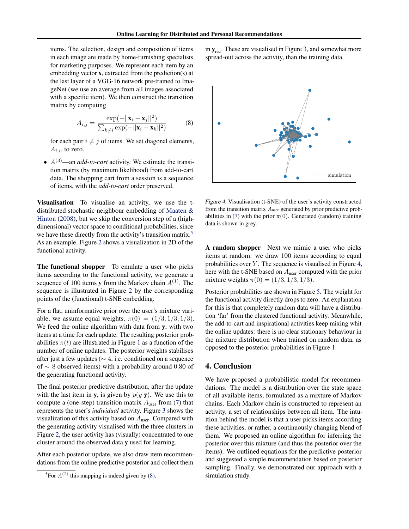<span id="page-4-0"></span>items. The selection, design and composition of items in each image are made by home-furnishing specialists for marketing purposes. We represent each item by an embedding vector x, extracted from the prediction(s) at the last layer of a VGG-16 network pre-trained to ImageNet (we use an average from all images associated with a specific item). We then construct the transition matrix by computing

$$
A_{i,j} = \frac{\exp(-||\mathbf{x}_i - \mathbf{x}_j||^2)}{\sum_{k \neq i} \exp(-||\mathbf{x}_i - \mathbf{x}_k||^2)}
$$
(8)

for each pair  $i \neq j$  of items. We set diagonal elements,  $A_i$ , to zero.

 $\bullet$   $A^{(3)}$ —an *add-to-cart* activity. We estimate the transition matrix (by maximum likelihood) from add-to-cart data. The shopping cart from a session is a sequence of items, with the *add-to-cart* order preserved.

Visualisation To visualise an activity, we use the tdistributed stochastic neighbour embedding of [Maaten &](#page-5-0) [Hinton](#page-5-0) [\(2008\)](#page-5-0), but we skip the conversion step of a (highdimensional) vector space to conditional probabilities, since we have these directly from the activity's transition matrix.<sup>5</sup> As an example, Figure [2](#page-3-0) shows a visualization in 2D of the functional activity.

The functional shopper To emulate a user who picks items according to the functional activity, we generate a sequence of 100 items y from the Markov chain  $A^{(1)}$ . The sequence is illustrated in Figure [2](#page-3-0) by the corresponding points of the (functional) t-SNE embedding.

For a flat, uninformative prior over the user's mixture variable, we assume equal weights,  $\pi(0) = (1/3, 1/3, 1/3)$ . We feed the online algorithm with data from y, with two items at a time for each update. The resulting posterior probabilities  $\pi(t)$  are illustrated in Figure [1](#page-2-0) as a function of the number of online updates. The posterior weights stabilises after just a few updates ( $\sim$  4, i.e. conditioned on a sequence of ∼ 8 observed items) with a probability around 0.80 of the generating functional activity.

The final posterior predictive distribution, after the update with the last item in y, is given by  $p(y|\mathbf{y})$ . We use this to compute a (one-step) transition matrix  $A<sub>user</sub>$  from [\(7\)](#page-2-0) that represents the user's *individual* activity. Figure [3](#page-3-0) shows the visualization of this activity based on  $A<sub>user</sub>$ . Compared with the generating activity visualised with the three clusters in Figure [2,](#page-3-0) the user activity has (visually) concentrated to one cluster around the observed data y used for learning.

After each posterior update, we also draw item recommendations from the online predictive posterior and collect them

in  $y_{\text{rec}}$ . These are visualised in Figure [3,](#page-3-0) and somewhat more spread-out across the activity, than the training data.



Figure 4. Visualisation (t-SNE) of the user's activity constructed from the transition matrix  $A_{user}$  generated by prior predictive prob-abilities in [\(7\)](#page-2-0) with the prior  $\pi(0)$ . Generated (random) training data is shown in grey.

A random shopper Next we mimic a user who picks items at random: we draw 100 items according to equal probabilities over  $Y$ . The sequence is visualised in Figure 4, here with the t-SNE based on  $A_{user}$  computed with the prior mixture weights  $\pi(0) = (1/3, 1/3, 1/3)$ .

Posterior probabilities are shown in Figure [5.](#page-5-0) The weight for the functional activity directly drops to zero. An explanation for this is that completely random data will have a distribution 'far' from the clustered functional activity. Meanwhile, the add-to-cart and inspirational activities keep mixing whit the online updates: there is no clear stationary behaviour in the mixture distribution when trained on random data, as opposed to the posterior probabilities in Figure [1.](#page-2-0)

### 4. Conclusion

We have proposed a probabilistic model for recommendations. The model is a distribution over the state space of all available items, formulated as a mixture of Markov chains. Each Markov chain is constructed to represent an activity, a set of relationships between all item. The intuition behind the model is that a user picks items according these activities, or rather, a continuously changing blend of them. We proposed an online algorithm for inferring the posterior over this mixture (and thus the posterior over the items). We outlined equations for the predictive posterior and suggested a simple recommendation based on posterior sampling. Finally, we demonstrated our approach with a simulation study.

<sup>&</sup>lt;sup>5</sup>For  $A^{(2)}$  this mapping is indeed given by (8).